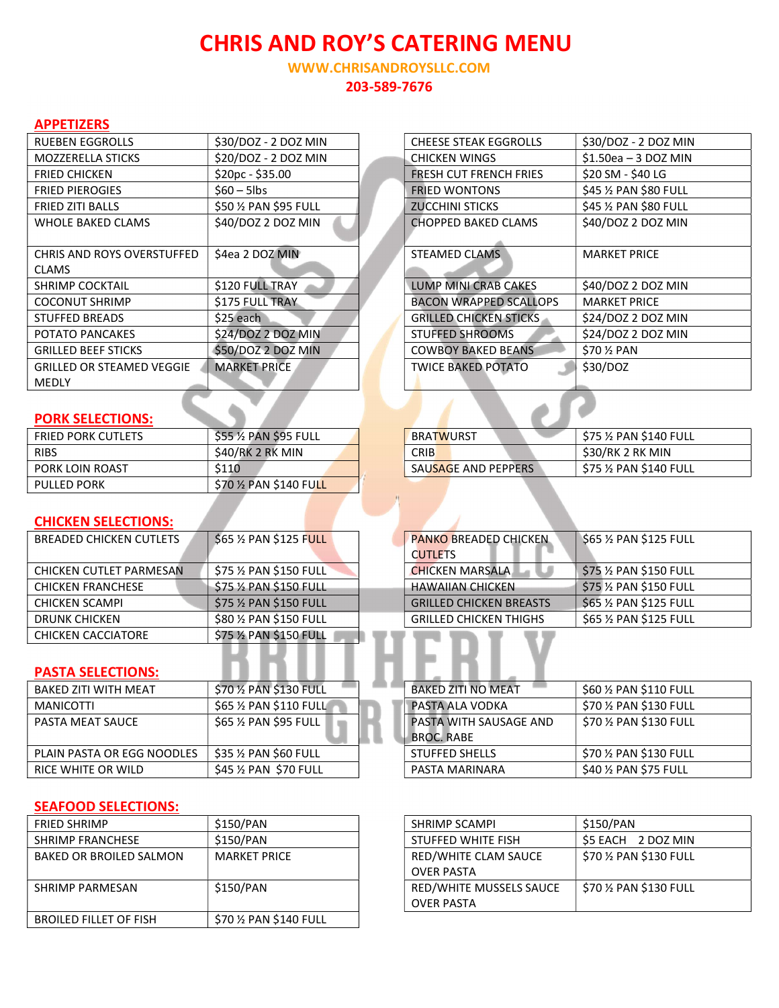# CHRIS AND ROY'S CATERING MENU

WWW.CHRISANDROYSLLC.COM 203-589-7676

#### APPETIZERS

| <b>RUEBEN EGGROLLS</b>            | \$30/DOZ - 2 DOZ MIN  | <b>CHEESE STEAK EGGROLLS</b>  | \$30/DOZ - 2 DOZ MIN   |
|-----------------------------------|-----------------------|-------------------------------|------------------------|
| <b>MOZZERELLA STICKS</b>          | \$20/DOZ - 2 DOZ MIN  | CHICKEN WINGS                 | $$1.50$ ea - 3 DOZ MIN |
| <b>FRIED CHICKEN</b>              | $$20pc - $35.00$      | <b>FRESH CUT FRENCH FRIES</b> | \$20 SM - \$40 LG      |
| <b>FRIED PIEROGIES</b>            | $$60 - 5$ lbs         | <b>FRIED WONTONS</b>          | \$45 % PAN \$80 FULL   |
| <b>FRIED ZITI BALLS</b>           | \$50 % PAN \$95 FULL  | <b>ZUCCHINI STICKS</b>        | \$45 % PAN \$80 FULL   |
| <b>WHOLE BAKED CLAMS</b>          | \$40/DOZ 2 DOZ MIN    | <b>CHOPPED BAKED CLAMS</b>    | \$40/DOZ 2 DOZ MIN     |
|                                   |                       |                               |                        |
| <b>CHRIS AND ROYS OVERSTUFFED</b> | \$4ea 2 DOZ MIN       | <b>STEAMED CLAMS</b>          | <b>MARKET PRICE</b>    |
| <b>CLAMS</b>                      |                       |                               |                        |
| <b>SHRIMP COCKTAIL</b>            | \$120 FULL TRAY       | LUMP MINI CRAB CAKES          | \$40/DOZ 2 DOZ MIN     |
| <b>COCONUT SHRIMP</b>             | <b>S175 FULL TRAY</b> | <b>BACON WRAPPED SCALLOPS</b> | <b>MARKET PRICE</b>    |
| <b>STUFFED BREADS</b>             | \$25 each             | <b>GRILLED CHICKEN STICKS</b> | \$24/DOZ 2 DOZ MIN     |
| POTATO PANCAKES                   | \$24/DOZ 2 DOZ MIN    | <b>STUFFED SHROOMS</b>        | \$24/DOZ 2 DOZ MIN     |
| <b>GRILLED BEEF STICKS</b>        | \$50/DOZ 2 DOZ MIN    | <b>COWBOY BAKED BEANS</b>     | \$70 % PAN             |
| <b>GRILLED OR STEAMED VEGGIE</b>  | <b>MARKET PRICE</b>   | <b>TWICE BAKED POTATO</b>     | \$30/DOZ               |
| <b>MEDLY</b>                      |                       |                               |                        |

|  |  |  | <b>PORK SELECTIONS:</b> |
|--|--|--|-------------------------|
|  |  |  |                         |

| <b>FRIED PORK CUTLETS</b> | \$55 ½ PAN \$95 FULL  | <b>BRATWURST</b>    | \$75 ½ PAN \$140 FULL                           |
|---------------------------|-----------------------|---------------------|-------------------------------------------------|
| <b>RIBS</b>               | \$40/RK 2 RK MIN      | <b>CRIB</b>         | \$30/RK 2 RK MIN                                |
| PORK LOIN ROAST           | \$110                 | SAUSAGE AND PEPPERS | $\frac{1}{2}$ \$75 $\frac{1}{2}$ PAN \$140 FULL |
| <b>PULLED PORK</b>        | \$70 % PAN \$140 FULL |                     |                                                 |

 $\triangle$ 

#### CHICKEN SELECTIONS:

| <b>BREADED CHICKEN CUTLETS</b> | \$65 % PAN \$125 FULL   | <b>PANKO BREADED CHICKEN</b>   | $$65\%$ PAN \$125 FULL  |
|--------------------------------|-------------------------|--------------------------------|-------------------------|
|                                |                         | <b>CUTLETS</b>                 |                         |
| CHICKEN CUTLET PARMESAN        | \$75 % PAN \$150 FULL   | <b>CHICKEN MARSALA</b>         | \$75 1/2 PAN \$150 FULL |
| <b>CHICKEN FRANCHESE</b>       | $$75\%$ PAN $$150$ FULL | <b>HAWAIIAN CHICKEN</b>        | \$75 1/2 PAN \$150 FULL |
| <b>CHICKEN SCAMPI</b>          | $$75\%$ PAN $$150$ FULL | <b>GRILLED CHICKEN BREASTS</b> | $$65$ % PAN \$125 FULL  |
| <b>DRUNK CHICKEN</b>           | \$80 % PAN \$150 FULL   | <b>GRILLED CHICKEN THIGHS</b>  | \$65 % PAN \$125 FULL   |
| <b>CHICKEN CACCIATORE</b>      | \$75 % PAN \$150 FULL   |                                |                         |

### PASTA SELECTIONS:

| BAKED ZITI WITH MEAT       | \$70 % PAN \$130 FULL   | <b>BAKED ZITI NO MEAT</b>     | $$60\,\%$ PAN S110 FULL |
|----------------------------|-------------------------|-------------------------------|-------------------------|
| MANICOTTI                  | $$65\%$ PAN $$110$ FULL | PASTA ALA VODKA               | \$70 ½ PAN \$130 FULL   |
| PASTA MEAT SAUCE           | \$65 1/2 PAN \$95 FULL  | <b>PASTA WITH SAUSAGE AND</b> | \$70 ½ PAN \$130 FULL   |
|                            |                         | <b>BROC, RABE</b>             |                         |
| PLAIN PASTA OR EGG NOODLES | $$35\%$ PAN \$60 FULL   | <b>STUFFED SHELLS</b>         | \$70 ½ PAN \$130 FULL   |
| RICE WHITE OR WILD         | $$45\%$ PAN $$70$ FULL  | PASTA MARINARA                | $$40\%$ PAN \$75 FULL   |

#### SEAFOOD SELECTIONS:

| <b>FRIED SHRIMP</b>            | \$150/PAN             | <b>SHRIMP SCAMPI</b>    | \$150/PAN             |
|--------------------------------|-----------------------|-------------------------|-----------------------|
| <b>SHRIMP FRANCHESE</b>        | \$150/PAN             | STUFFED WHITE FISH      | S5 EACH<br>2 DOZ MIN  |
| <b>BAKED OR BROILED SALMON</b> | <b>MARKET PRICE</b>   | RED/WHITE CLAM SAUCE    | \$70 % PAN \$130 FULL |
|                                |                       | <b>OVER PASTA</b>       |                       |
| SHRIMP PARMESAN                | \$150/PAN             | RED/WHITE MUSSELS SAUCE | \$70 % PAN \$130 FULL |
|                                |                       | <b>OVER PASTA</b>       |                       |
| <b>BROILED FILLET OF FISH</b>  | \$70 % PAN \$140 FULL |                         |                       |

| \$30/DOZ - 2 DOZ MIN | <b>CHEESE STEAK EGGROLLS</b>  | \$30/DOZ - 2 DOZ MIN  |
|----------------------|-------------------------------|-----------------------|
| \$20/DOZ - 2 DOZ MIN | <b>CHICKEN WINGS</b>          | $$1.50ea - 3 DOZ MIN$ |
| \$20pc - \$35.00     | <b>FRESH CUT FRENCH FRIES</b> | \$20 SM - \$40 LG     |
| \$60 – 5lbs          | <b>FRIED WONTONS</b>          | \$45 % PAN \$80 FULL  |
| \$50 ½ PAN \$95 FULL | <b>ZUCCHINI STICKS</b>        | \$45 % PAN \$80 FULL  |
| \$40/DOZ 2 DOZ MIN   | <b>CHOPPED BAKED CLAMS</b>    | \$40/DOZ 2 DOZ MIN    |
|                      |                               |                       |
| \$4ea 2 DOZ MIN      | <b>STEAMED CLAMS</b>          | <b>MARKET PRICE</b>   |
|                      |                               |                       |
| \$120 FULL TRAY      | <b>LUMP MINI CRAB CAKES</b>   | \$40/DOZ 2 DOZ MIN    |
| \$175 FULL TRAY      | <b>BACON WRAPPED SCALLOPS</b> | <b>MARKET PRICE</b>   |
| \$25 each            | <b>GRILLED CHICKEN STICKS</b> | \$24/DOZ 2 DOZ MIN    |
| \$24/DOZ 2 DOZ MIN   | <b>STUFFED SHROOMS</b>        | \$24/DOZ 2 DOZ MIN    |
| \$50/DOZ 2 DOZ MIN   | <b>COWBOY BAKED BEANS</b>     | \$70 % PAN            |
| <b>MARKET PRICE</b>  | <b>TWICE BAKED POTATO</b>     | \$30/DOZ              |
|                      |                               |                       |

| <b>BRATWURST</b>    | \$75 % PAN \$140 FULL |
|---------------------|-----------------------|
| <b>CRIB</b>         | \$30/RK 2 RK MIN      |
| SAUSAGE AND PEPPERS | \$75 % PAN \$140 FULL |

| <b>PANKO BREADED CHICKEN</b>   | \$65 % PAN \$125 FULL |  |  |
|--------------------------------|-----------------------|--|--|
| <b>CUTLETS</b>                 |                       |  |  |
| <b>CHICKEN MARSALA</b>         | \$75 % PAN \$150 FULL |  |  |
| <b>HAWAIIAN CHICKEN</b>        | \$75 % PAN \$150 FULL |  |  |
| <b>GRILLED CHICKEN BREASTS</b> | \$65 % PAN \$125 FULL |  |  |
| <b>GRILLED CHICKEN THIGHS</b>  | \$65 % PAN \$125 FULL |  |  |

| <b>BAKED ZITI NO MEAT</b> | \$60 % PAN \$110 FULL |
|---------------------------|-----------------------|
| PASTA ALA VODKA           | \$70 % PAN \$130 FULL |
| PASTA WITH SAUSAGE AND    | \$70 % PAN \$130 FULL |
| <b>BROC. RABE</b>         |                       |
| <b>STUFFED SHELLS</b>     | \$70 % PAN \$130 FULL |
| PASTA MARINARA            | \$40 % PAN \$75 FULL  |

| <b>SHRIMP SCAMPI</b>    | \$150/PAN             |
|-------------------------|-----------------------|
| STUFFED WHITE FISH      | \$5 EACH 2 DOZ MIN    |
| RED/WHITE CLAM SAUCE    | \$70 % PAN \$130 FULL |
| <b>OVER PASTA</b>       |                       |
| RED/WHITE MUSSELS SAUCE | \$70 % PAN \$130 FULL |
| <b>OVER PASTA</b>       |                       |